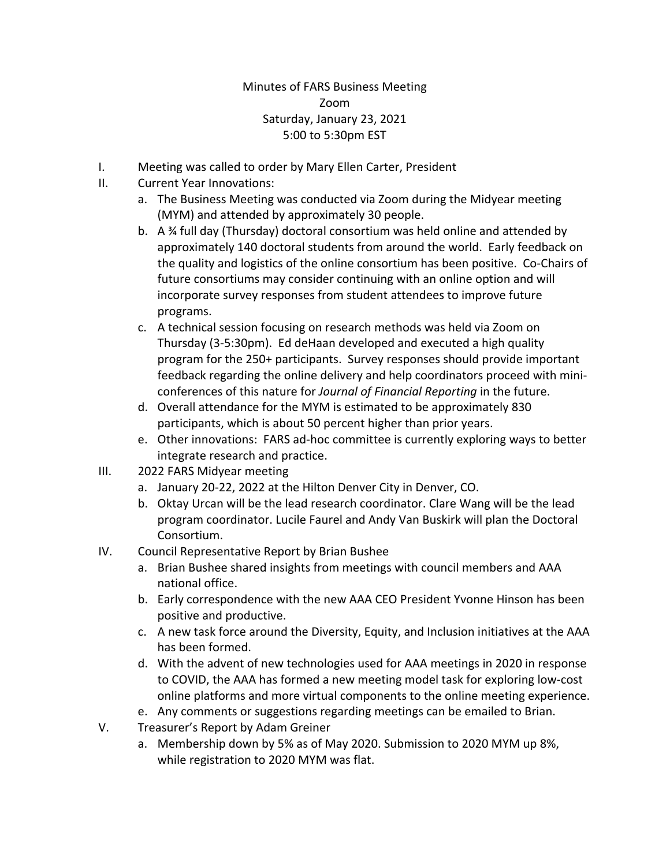## Minutes of FARS Business Meeting Zoom Saturday, January 23, 2021 5:00 to 5:30pm EST

- I. Meeting was called to order by Mary Ellen Carter, President
- II. Current Year Innovations:
	- a. The Business Meeting was conducted via Zoom during the Midyear meeting (MYM) and attended by approximately 30 people.
	- b. A  $\frac{3}{4}$  full day (Thursday) doctoral consortium was held online and attended by approximately 140 doctoral students from around the world. Early feedback on the quality and logistics of the online consortium has been positive. Co‐Chairs of future consortiums may consider continuing with an online option and will incorporate survey responses from student attendees to improve future programs.
	- c. A technical session focusing on research methods was held via Zoom on Thursday (3‐5:30pm). Ed deHaan developed and executed a high quality program for the 250+ participants. Survey responses should provide important feedback regarding the online delivery and help coordinators proceed with mini‐ conferences of this nature for *Journal of Financial Reporting* in the future.
	- d. Overall attendance for the MYM is estimated to be approximately 830 participants, which is about 50 percent higher than prior years.
	- e. Other innovations: FARS ad-hoc committee is currently exploring ways to better integrate research and practice.
- III. 2022 FARS Midyear meeting
	- a. January 20‐22, 2022 at the Hilton Denver City in Denver, CO.
	- b. Oktay Urcan will be the lead research coordinator. Clare Wang will be the lead program coordinator. Lucile Faurel and Andy Van Buskirk will plan the Doctoral Consortium.
- IV. Council Representative Report by Brian Bushee
	- a. Brian Bushee shared insights from meetings with council members and AAA national office.
	- b. Early correspondence with the new AAA CEO President Yvonne Hinson has been positive and productive.
	- c. A new task force around the Diversity, Equity, and Inclusion initiatives at the AAA has been formed.
	- d. With the advent of new technologies used for AAA meetings in 2020 in response to COVID, the AAA has formed a new meeting model task for exploring low‐cost online platforms and more virtual components to the online meeting experience.
	- e. Any comments or suggestions regarding meetings can be emailed to Brian.
- V. Treasurer's Report by Adam Greiner
	- a. Membership down by 5% as of May 2020. Submission to 2020 MYM up 8%, while registration to 2020 MYM was flat.